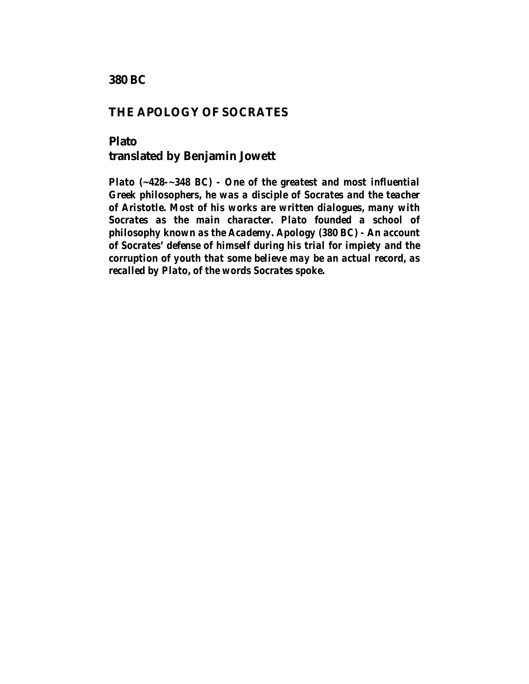**380 BC**

## **THE APOLOGY OF SOCRATES**

## **Plato translated by Benjamin Jowett**

*Plato (~428-~348 BC) - One of the greatest and most influential Greek philosophers, he was a disciple of Socrates and the teacher of Aristotle. Most of his works are written dialogues, many with Socrates as the main character. Plato founded a school of philosophy known as the Academy. Apology (380 BC) - An account of Socrates' defense of himself during his trial for impiety and the corruption of youth that some believe may be an actual record, as recalled by Plato, of the words Socrates spoke.*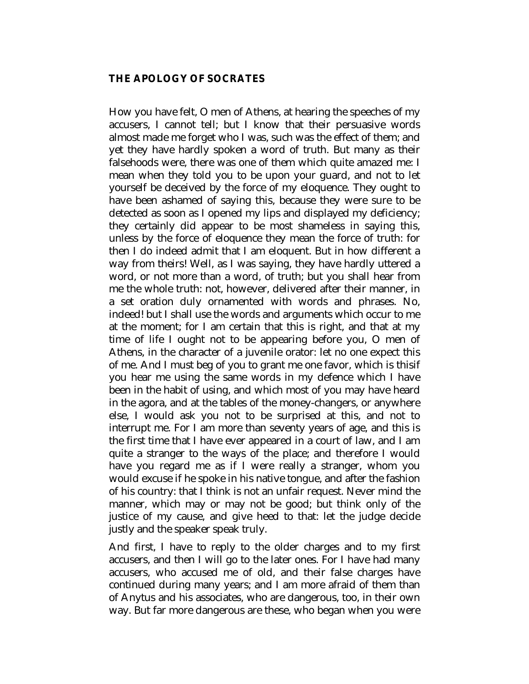## **THE APOLOGY OF SOCRATES**

How you have felt, O men of Athens, at hearing the speeches of my accusers, I cannot tell; but I know that their persuasive words almost made me forget who I was, such was the effect of them; and yet they have hardly spoken a word of truth. But many as their falsehoods were, there was one of them which quite amazed me: I mean when they told you to be upon your guard, and not to let yourself be deceived by the force of my eloquence. They ought to have been ashamed of saying this, because they were sure to be detected as soon as I opened my lips and displayed my deficiency; they certainly did appear to be most shameless in saying this, unless by the force of eloquence they mean the force of truth: for then I do indeed admit that I am eloquent. But in how different a way from theirs! Well, as I was saying, they have hardly uttered a word, or not more than a word, of truth; but you shall hear from me the whole truth: not, however, delivered after their manner, in a set oration duly ornamented with words and phrases. No, indeed! but I shall use the words and arguments which occur to me at the moment; for I am certain that this is right, and that at my time of life I ought not to be appearing before you, O men of Athens, in the character of a juvenile orator: let no one expect this of me. And I must beg of you to grant me one favor, which is thisif you hear me using the same words in my defence which I have been in the habit of using, and which most of you may have heard in the agora, and at the tables of the money-changers, or anywhere else, I would ask you not to be surprised at this, and not to interrupt me. For I am more than seventy years of age, and this is the first time that I have ever appeared in a court of law, and I am quite a stranger to the ways of the place; and therefore I would have you regard me as if I were really a stranger, whom you would excuse if he spoke in his native tongue, and after the fashion of his country: that I think is not an unfair request. Never mind the manner, which may or may not be good; but think only of the justice of my cause, and give heed to that: let the judge decide justly and the speaker speak truly.

And first, I have to reply to the older charges and to my first accusers, and then I will go to the later ones. For I have had many accusers, who accused me of old, and their false charges have continued during many years; and I am more afraid of them than of Anytus and his associates, who are dangerous, too, in their own way. But far more dangerous are these, who began when you were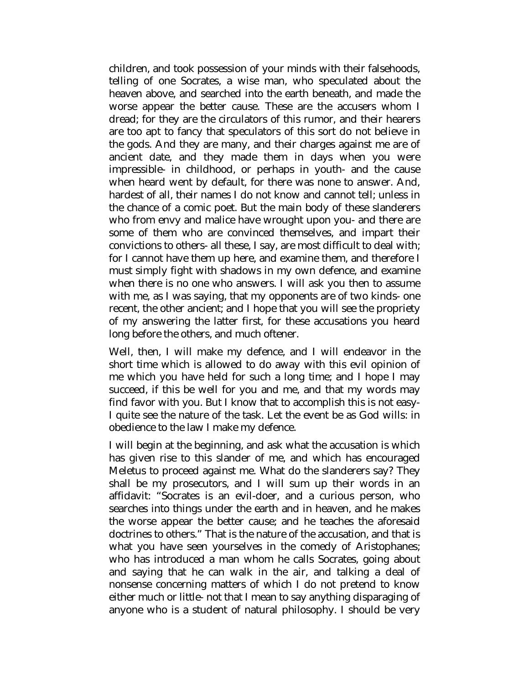children, and took possession of your minds with their falsehoods, telling of one Socrates, a wise man, who speculated about the heaven above, and searched into the earth beneath, and made the worse appear the better cause. These are the accusers whom I dread; for they are the circulators of this rumor, and their hearers are too apt to fancy that speculators of this sort do not believe in the gods. And they are many, and their charges against me are of ancient date, and they made them in days when you were impressible- in childhood, or perhaps in youth- and the cause when heard went by default, for there was none to answer. And, hardest of all, their names I do not know and cannot tell; unless in the chance of a comic poet. But the main body of these slanderers who from envy and malice have wrought upon you- and there are some of them who are convinced themselves, and impart their convictions to others- all these, I say, are most difficult to deal with; for I cannot have them up here, and examine them, and therefore I must simply fight with shadows in my own defence, and examine when there is no one who answers. I will ask you then to assume with me, as I was saying, that my opponents are of two kinds- one recent, the other ancient; and I hope that you will see the propriety of my answering the latter first, for these accusations you heard long before the others, and much oftener.

Well, then, I will make my defence, and I will endeavor in the short time which is allowed to do away with this evil opinion of me which you have held for such a long time; and I hope I may succeed, if this be well for you and me, and that my words may find favor with you. But I know that to accomplish this is not easy-I quite see the nature of the task. Let the event be as God wills: in obedience to the law I make my defence.

I will begin at the beginning, and ask what the accusation is which has given rise to this slander of me, and which has encouraged Meletus to proceed against me. What do the slanderers say? They shall be my prosecutors, and I will sum up their words in an affidavit: "Socrates is an evil-doer, and a curious person, who searches into things under the earth and in heaven, and he makes the worse appear the better cause; and he teaches the aforesaid doctrines to others." That is the nature of the accusation, and that is what you have seen yourselves in the comedy of Aristophanes; who has introduced a man whom he calls Socrates, going about and saying that he can walk in the air, and talking a deal of nonsense concerning matters of which I do not pretend to know either much or little- not that I mean to say anything disparaging of anyone who is a student of natural philosophy. I should be very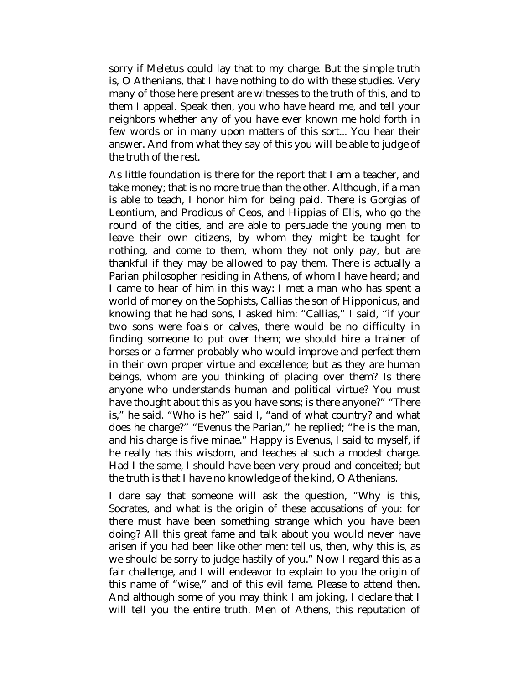sorry if Meletus could lay that to my charge. But the simple truth is, O Athenians, that I have nothing to do with these studies. Very many of those here present are witnesses to the truth of this, and to them I appeal. Speak then, you who have heard me, and tell your neighbors whether any of you have ever known me hold forth in few words or in many upon matters of this sort... You hear their answer. And from what they say of this you will be able to judge of the truth of the rest.

As little foundation is there for the report that I am a teacher, and take money; that is no more true than the other. Although, if a man is able to teach, I honor him for being paid. There is Gorgias of Leontium, and Prodicus of Ceos, and Hippias of Elis, who go the round of the cities, and are able to persuade the young men to leave their own citizens, by whom they might be taught for nothing, and come to them, whom they not only pay, but are thankful if they may be allowed to pay them. There is actually a Parian philosopher residing in Athens, of whom I have heard; and I came to hear of him in this way: I met a man who has spent a world of money on the Sophists, Callias the son of Hipponicus, and knowing that he had sons, I asked him: "Callias," I said, "if your two sons were foals or calves, there would be no difficulty in finding someone to put over them; we should hire a trainer of horses or a farmer probably who would improve and perfect them in their own proper virtue and excellence; but as they are human beings, whom are you thinking of placing over them? Is there anyone who understands human and political virtue? You must have thought about this as you have sons; is there anyone?" "There is," he said. "Who is he?" said I, "and of what country? and what does he charge?" "Evenus the Parian," he replied; "he is the man, and his charge is five minae." Happy is Evenus, I said to myself, if he really has this wisdom, and teaches at such a modest charge. Had I the same, I should have been very proud and conceited; but the truth is that I have no knowledge of the kind, O Athenians.

I dare say that someone will ask the question, "Why is this, Socrates, and what is the origin of these accusations of you: for there must have been something strange which you have been doing? All this great fame and talk about you would never have arisen if you had been like other men: tell us, then, why this is, as we should be sorry to judge hastily of you." Now I regard this as a fair challenge, and I will endeavor to explain to you the origin of this name of "wise," and of this evil fame. Please to attend then. And although some of you may think I am joking, I declare that I will tell you the entire truth. Men of Athens, this reputation of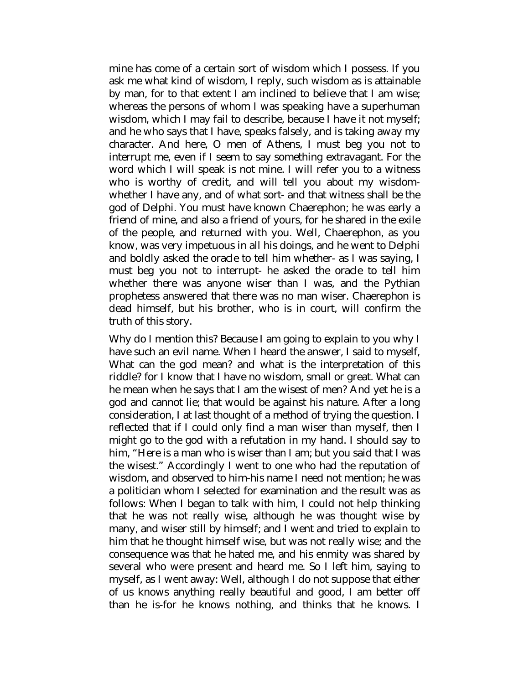mine has come of a certain sort of wisdom which I possess. If you ask me what kind of wisdom, I reply, such wisdom as is attainable by man, for to that extent I am inclined to believe that I am wise; whereas the persons of whom I was speaking have a superhuman wisdom, which I may fail to describe, because I have it not myself; and he who says that I have, speaks falsely, and is taking away my character. And here, O men of Athens, I must beg you not to interrupt me, even if I seem to say something extravagant. For the word which I will speak is not mine. I will refer you to a witness who is worthy of credit, and will tell you about my wisdomwhether I have any, and of what sort- and that witness shall be the god of Delphi. You must have known Chaerephon; he was early a friend of mine, and also a friend of yours, for he shared in the exile of the people, and returned with you. Well, Chaerephon, as you know, was very impetuous in all his doings, and he went to Delphi and boldly asked the oracle to tell him whether- as I was saying, I must beg you not to interrupt- he asked the oracle to tell him whether there was anyone wiser than I was, and the Pythian prophetess answered that there was no man wiser. Chaerephon is dead himself, but his brother, who is in court, will confirm the truth of this story.

Why do I mention this? Because I am going to explain to you why I have such an evil name. When I heard the answer, I said to myself, What can the god mean? and what is the interpretation of this riddle? for I know that I have no wisdom, small or great. What can he mean when he says that I am the wisest of men? And yet he is a god and cannot lie; that would be against his nature. After a long consideration, I at last thought of a method of trying the question. I reflected that if I could only find a man wiser than myself, then I might go to the god with a refutation in my hand. I should say to him, "Here is a man who is wiser than I am; but you said that I was the wisest." Accordingly I went to one who had the reputation of wisdom, and observed to him-his name I need not mention; he was a politician whom I selected for examination and the result was as follows: When I began to talk with him, I could not help thinking that he was not really wise, although he was thought wise by many, and wiser still by himself; and I went and tried to explain to him that he thought himself wise, but was not really wise; and the consequence was that he hated me, and his enmity was shared by several who were present and heard me. So I left him, saying to myself, as I went away: Well, although I do not suppose that either of us knows anything really beautiful and good, I am better off than he is-for he knows nothing, and thinks that he knows. I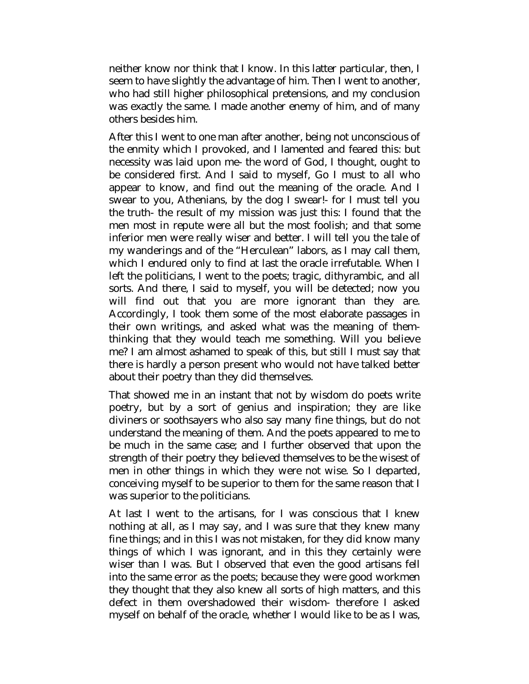neither know nor think that I know. In this latter particular, then, I seem to have slightly the advantage of him. Then I went to another, who had still higher philosophical pretensions, and my conclusion was exactly the same. I made another enemy of him, and of many others besides him.

After this I went to one man after another, being not unconscious of the enmity which I provoked, and I lamented and feared this: but necessity was laid upon me- the word of God, I thought, ought to be considered first. And I said to myself, Go I must to all who appear to know, and find out the meaning of the oracle. And I swear to you, Athenians, by the dog I swear!- for I must tell you the truth- the result of my mission was just this: I found that the men most in repute were all but the most foolish; and that some inferior men were really wiser and better. I will tell you the tale of my wanderings and of the "Herculean" labors, as I may call them, which I endured only to find at last the oracle irrefutable. When I left the politicians, I went to the poets; tragic, dithyrambic, and all sorts. And there, I said to myself, you will be detected; now you will find out that you are more ignorant than they are. Accordingly, I took them some of the most elaborate passages in their own writings, and asked what was the meaning of themthinking that they would teach me something. Will you believe me? I am almost ashamed to speak of this, but still I must say that there is hardly a person present who would not have talked better about their poetry than they did themselves.

That showed me in an instant that not by wisdom do poets write poetry, but by a sort of genius and inspiration; they are like diviners or soothsayers who also say many fine things, but do not understand the meaning of them. And the poets appeared to me to be much in the same case; and I further observed that upon the strength of their poetry they believed themselves to be the wisest of men in other things in which they were not wise. So I departed, conceiving myself to be superior to them for the same reason that I was superior to the politicians.

At last I went to the artisans, for I was conscious that I knew nothing at all, as I may say, and I was sure that they knew many fine things; and in this I was not mistaken, for they did know many things of which I was ignorant, and in this they certainly were wiser than I was. But I observed that even the good artisans fell into the same error as the poets; because they were good workmen they thought that they also knew all sorts of high matters, and this defect in them overshadowed their wisdom- therefore I asked myself on behalf of the oracle, whether I would like to be as I was,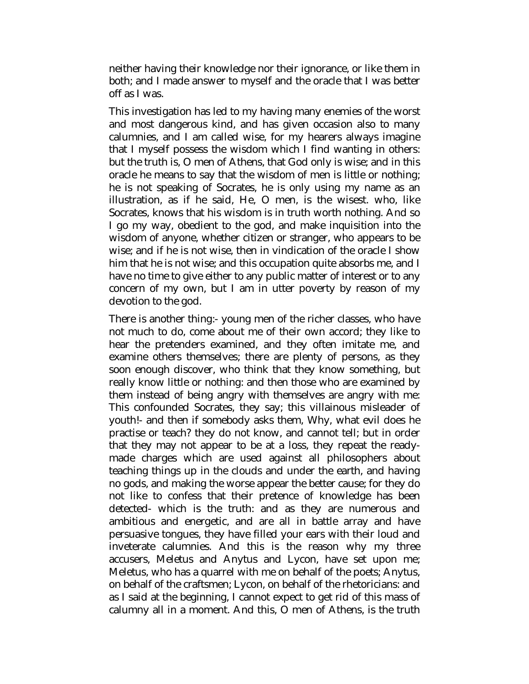neither having their knowledge nor their ignorance, or like them in both; and I made answer to myself and the oracle that I was better off as I was.

This investigation has led to my having many enemies of the worst and most dangerous kind, and has given occasion also to many calumnies, and I am called wise, for my hearers always imagine that I myself possess the wisdom which I find wanting in others: but the truth is, O men of Athens, that God only is wise; and in this oracle he means to say that the wisdom of men is little or nothing; he is not speaking of Socrates, he is only using my name as an illustration, as if he said, He, O men, is the wisest. who, like Socrates, knows that his wisdom is in truth worth nothing. And so I go my way, obedient to the god, and make inquisition into the wisdom of anyone, whether citizen or stranger, who appears to be wise; and if he is not wise, then in vindication of the oracle I show him that he is not wise; and this occupation quite absorbs me, and I have no time to give either to any public matter of interest or to any concern of my own, but I am in utter poverty by reason of my devotion to the god.

There is another thing:- young men of the richer classes, who have not much to do, come about me of their own accord; they like to hear the pretenders examined, and they often imitate me, and examine others themselves; there are plenty of persons, as they soon enough discover, who think that they know something, but really know little or nothing: and then those who are examined by them instead of being angry with themselves are angry with me: This confounded Socrates, they say; this villainous misleader of youth!- and then if somebody asks them, Why, what evil does he practise or teach? they do not know, and cannot tell; but in order that they may not appear to be at a loss, they repeat the readymade charges which are used against all philosophers about teaching things up in the clouds and under the earth, and having no gods, and making the worse appear the better cause; for they do not like to confess that their pretence of knowledge has been detected- which is the truth: and as they are numerous and ambitious and energetic, and are all in battle array and have persuasive tongues, they have filled your ears with their loud and inveterate calumnies. And this is the reason why my three accusers, Meletus and Anytus and Lycon, have set upon me; Meletus, who has a quarrel with me on behalf of the poets; Anytus, on behalf of the craftsmen; Lycon, on behalf of the rhetoricians: and as I said at the beginning, I cannot expect to get rid of this mass of calumny all in a moment. And this, O men of Athens, is the truth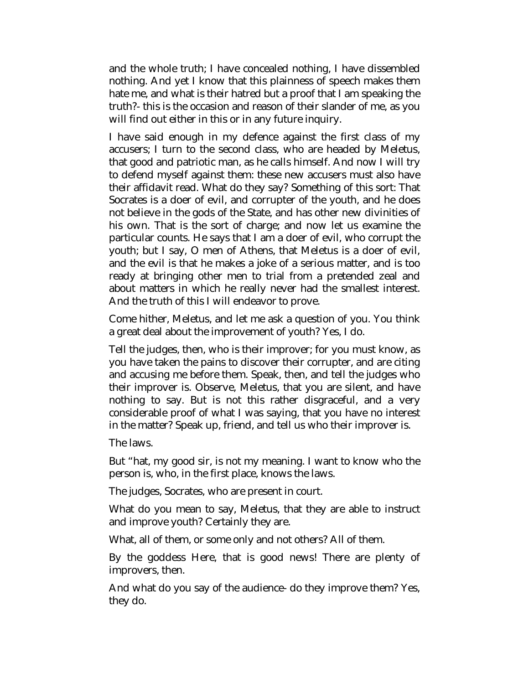and the whole truth; I have concealed nothing, I have dissembled nothing. And yet I know that this plainness of speech makes them hate me, and what is their hatred but a proof that I am speaking the truth?- this is the occasion and reason of their slander of me, as you will find out either in this or in any future inquiry.

I have said enough in my defence against the first class of my accusers; I turn to the second class, who are headed by Meletus, that good and patriotic man, as he calls himself. And now I will try to defend myself against them: these new accusers must also have their affidavit read. What do they say? Something of this sort: That Socrates is a doer of evil, and corrupter of the youth, and he does not believe in the gods of the State, and has other new divinities of his own. That is the sort of charge; and now let us examine the particular counts. He says that I am a doer of evil, who corrupt the youth; but I say, O men of Athens, that Meletus is a doer of evil, and the evil is that he makes a joke of a serious matter, and is too ready at bringing other men to trial from a pretended zeal and about matters in which he really never had the smallest interest. And the truth of this I will endeavor to prove.

Come hither, Meletus, and let me ask a question of you. You think a great deal about the improvement of youth? Yes, I do.

Tell the judges, then, who is their improver; for you must know, as you have taken the pains to discover their corrupter, and are citing and accusing me before them. Speak, then, and tell the judges who their improver is. Observe, Meletus, that you are silent, and have nothing to say. But is not this rather disgraceful, and a very considerable proof of what I was saying, that you have no interest in the matter? Speak up, friend, and tell us who their improver is.

The laws.

But "hat, my good sir, is not my meaning. I want to know who the person is, who, in the first place, knows the laws.

The judges, Socrates, who are present in court.

What do you mean to say, Meletus, that they are able to instruct and improve youth? Certainly they are.

What, all of them, or some only and not others? All of them.

By the goddess Here, that is good news! There are plenty of improvers, then.

And what do you say of the audience- do they improve them? Yes, they do.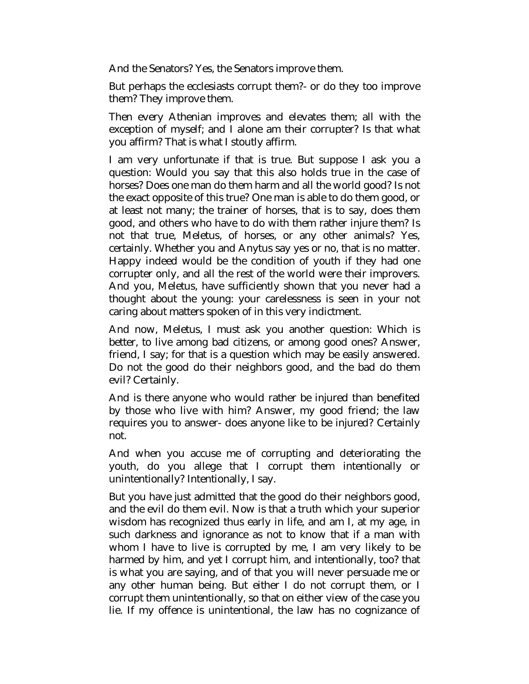And the Senators? Yes, the Senators improve them.

But perhaps the ecclesiasts corrupt them?- or do they too improve them? They improve them.

Then every Athenian improves and elevates them; all with the exception of myself; and I alone am their corrupter? Is that what you affirm? That is what I stoutly affirm.

I am very unfortunate if that is true. But suppose I ask you a question: Would you say that this also holds true in the case of horses? Does one man do them harm and all the world good? Is not the exact opposite of this true? One man is able to do them good, or at least not many; the trainer of horses, that is to say, does them good, and others who have to do with them rather injure them? Is not that true, Meletus, of horses, or any other animals? Yes, certainly. Whether you and Anytus say yes or no, that is no matter. Happy indeed would be the condition of youth if they had one corrupter only, and all the rest of the world were their improvers. And you, Meletus, have sufficiently shown that you never had a thought about the young: your carelessness is seen in your not caring about matters spoken of in this very indictment.

And now, Meletus, I must ask you another question: Which is better, to live among bad citizens, or among good ones? Answer, friend, I say; for that is a question which may be easily answered. Do not the good do their neighbors good, and the bad do them evil? Certainly.

And is there anyone who would rather be injured than benefited by those who live with him? Answer, my good friend; the law requires you to answer- does anyone like to be injured? Certainly not.

And when you accuse me of corrupting and deteriorating the youth, do you allege that I corrupt them intentionally or unintentionally? Intentionally, I say.

But you have just admitted that the good do their neighbors good, and the evil do them evil. Now is that a truth which your superior wisdom has recognized thus early in life, and am I, at my age, in such darkness and ignorance as not to know that if a man with whom I have to live is corrupted by me, I am very likely to be harmed by him, and yet I corrupt him, and intentionally, too? that is what you are saying, and of that you will never persuade me or any other human being. But either I do not corrupt them, or I corrupt them unintentionally, so that on either view of the case you lie. If my offence is unintentional, the law has no cognizance of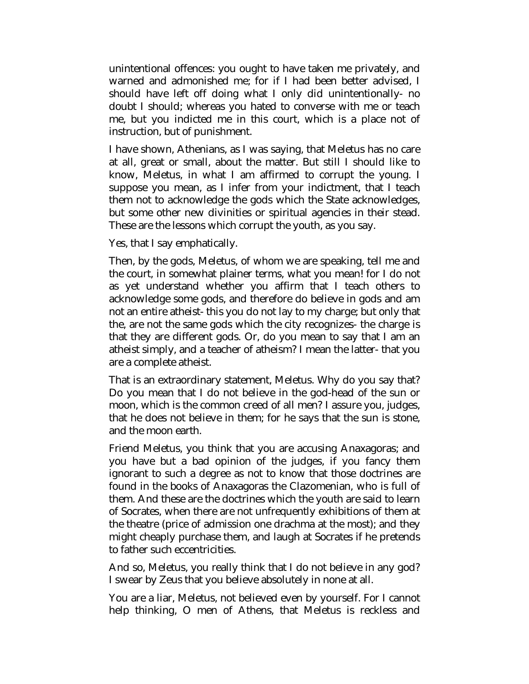unintentional offences: you ought to have taken me privately, and warned and admonished me; for if I had been better advised, I should have left off doing what I only did unintentionally- no doubt I should; whereas you hated to converse with me or teach me, but you indicted me in this court, which is a place not of instruction, but of punishment.

I have shown, Athenians, as I was saying, that Meletus has no care at all, great or small, about the matter. But still I should like to know, Meletus, in what I am affirmed to corrupt the young. I suppose you mean, as I infer from your indictment, that I teach them not to acknowledge the gods which the State acknowledges, but some other new divinities or spiritual agencies in their stead. These are the lessons which corrupt the youth, as you say.

Yes, that I say emphatically.

Then, by the gods, Meletus, of whom we are speaking, tell me and the court, in somewhat plainer terms, what you mean! for I do not as yet understand whether you affirm that I teach others to acknowledge some gods, and therefore do believe in gods and am not an entire atheist- this you do not lay to my charge; but only that the, are not the same gods which the city recognizes- the charge is that they are different gods. Or, do you mean to say that I am an atheist simply, and a teacher of atheism? I mean the latter- that you are a complete atheist.

That is an extraordinary statement, Meletus. Why do you say that? Do you mean that I do not believe in the god-head of the sun or moon, which is the common creed of all men? I assure you, judges, that he does not believe in them; for he says that the sun is stone, and the moon earth.

Friend Meletus, you think that you are accusing Anaxagoras; and you have but a bad opinion of the judges, if you fancy them ignorant to such a degree as not to know that those doctrines are found in the books of Anaxagoras the Clazomenian, who is full of them. And these are the doctrines which the youth are said to learn of Socrates, when there are not unfrequently exhibitions of them at the theatre (price of admission one drachma at the most); and they might cheaply purchase them, and laugh at Socrates if he pretends to father such eccentricities.

And so, Meletus, you really think that I do not believe in any god? I swear by Zeus that you believe absolutely in none at all.

You are a liar, Meletus, not believed even by yourself. For I cannot help thinking, O men of Athens, that Meletus is reckless and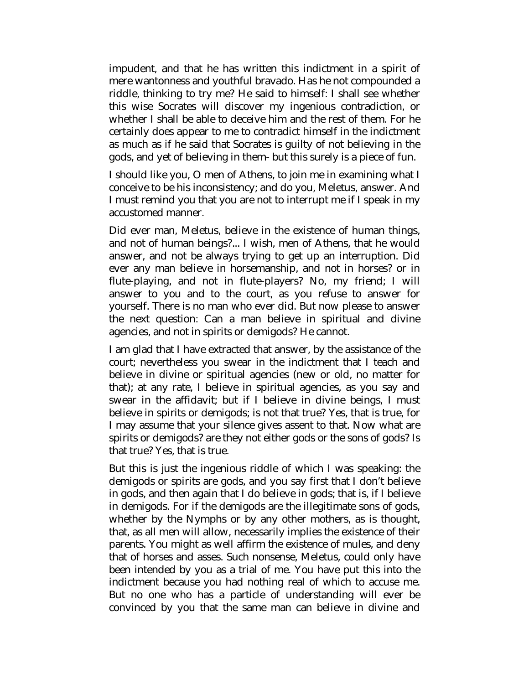impudent, and that he has written this indictment in a spirit of mere wantonness and youthful bravado. Has he not compounded a riddle, thinking to try me? He said to himself: I shall see whether this wise Socrates will discover my ingenious contradiction, or whether I shall be able to deceive him and the rest of them. For he certainly does appear to me to contradict himself in the indictment as much as if he said that Socrates is guilty of not believing in the gods, and yet of believing in them- but this surely is a piece of fun.

I should like you, O men of Athens, to join me in examining what I conceive to be his inconsistency; and do you, Meletus, answer. And I must remind you that you are not to interrupt me if I speak in my accustomed manner.

Did ever man, Meletus, believe in the existence of human things, and not of human beings?... I wish, men of Athens, that he would answer, and not be always trying to get up an interruption. Did ever any man believe in horsemanship, and not in horses? or in flute-playing, and not in flute-players? No, my friend; I will answer to you and to the court, as you refuse to answer for yourself. There is no man who ever did. But now please to answer the next question: Can a man believe in spiritual and divine agencies, and not in spirits or demigods? He cannot.

I am glad that I have extracted that answer, by the assistance of the court; nevertheless you swear in the indictment that I teach and believe in divine or spiritual agencies (new or old, no matter for that); at any rate, I believe in spiritual agencies, as you say and swear in the affidavit; but if I believe in divine beings, I must believe in spirits or demigods; is not that true? Yes, that is true, for I may assume that your silence gives assent to that. Now what are spirits or demigods? are they not either gods or the sons of gods? Is that true? Yes, that is true.

But this is just the ingenious riddle of which I was speaking: the demigods or spirits are gods, and you say first that I don't believe in gods, and then again that I do believe in gods; that is, if I believe in demigods. For if the demigods are the illegitimate sons of gods, whether by the Nymphs or by any other mothers, as is thought, that, as all men will allow, necessarily implies the existence of their parents. You might as well affirm the existence of mules, and deny that of horses and asses. Such nonsense, Meletus, could only have been intended by you as a trial of me. You have put this into the indictment because you had nothing real of which to accuse me. But no one who has a particle of understanding will ever be convinced by you that the same man can believe in divine and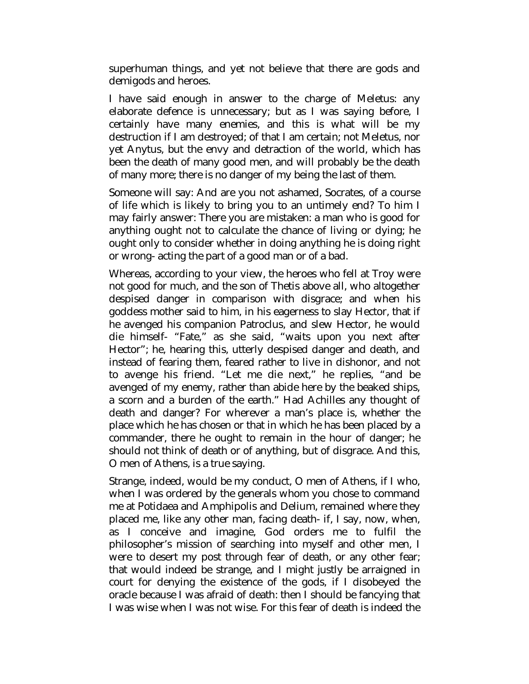superhuman things, and yet not believe that there are gods and demigods and heroes.

I have said enough in answer to the charge of Meletus: any elaborate defence is unnecessary; but as I was saying before, I certainly have many enemies, and this is what will be my destruction if I am destroyed; of that I am certain; not Meletus, nor yet Anytus, but the envy and detraction of the world, which has been the death of many good men, and will probably be the death of many more; there is no danger of my being the last of them.

Someone will say: And are you not ashamed, Socrates, of a course of life which is likely to bring you to an untimely end? To him I may fairly answer: There you are mistaken: a man who is good for anything ought not to calculate the chance of living or dying; he ought only to consider whether in doing anything he is doing right or wrong- acting the part of a good man or of a bad.

Whereas, according to your view, the heroes who fell at Troy were not good for much, and the son of Thetis above all, who altogether despised danger in comparison with disgrace; and when his goddess mother said to him, in his eagerness to slay Hector, that if he avenged his companion Patroclus, and slew Hector, he would die himself- "Fate," as she said, "waits upon you next after Hector"; he, hearing this, utterly despised danger and death, and instead of fearing them, feared rather to live in dishonor, and not to avenge his friend. "Let me die next," he replies, "and be avenged of my enemy, rather than abide here by the beaked ships, a scorn and a burden of the earth." Had Achilles any thought of death and danger? For wherever a man's place is, whether the place which he has chosen or that in which he has been placed by a commander, there he ought to remain in the hour of danger; he should not think of death or of anything, but of disgrace. And this, O men of Athens, is a true saying.

Strange, indeed, would be my conduct, O men of Athens, if I who, when I was ordered by the generals whom you chose to command me at Potidaea and Amphipolis and Delium, remained where they placed me, like any other man, facing death- if, I say, now, when, as I conceive and imagine, God orders me to fulfil the philosopher's mission of searching into myself and other men, I were to desert my post through fear of death, or any other fear; that would indeed be strange, and I might justly be arraigned in court for denying the existence of the gods, if I disobeyed the oracle because I was afraid of death: then I should be fancying that I was wise when I was not wise. For this fear of death is indeed the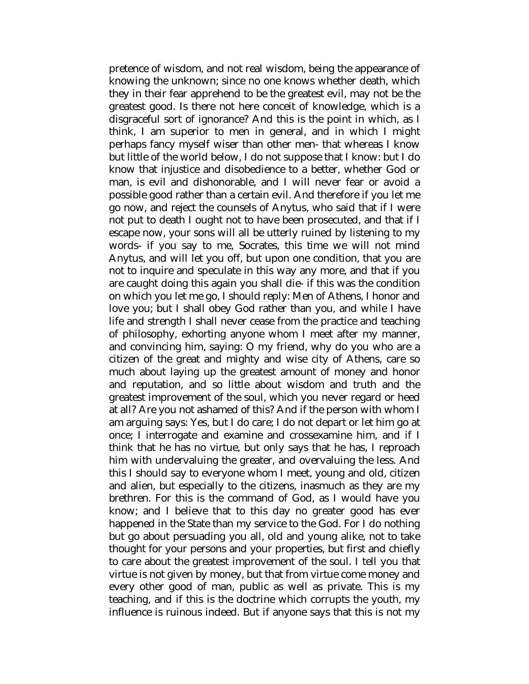pretence of wisdom, and not real wisdom, being the appearance of knowing the unknown; since no one knows whether death, which they in their fear apprehend to be the greatest evil, may not be the greatest good. Is there not here conceit of knowledge, which is a disgraceful sort of ignorance? And this is the point in which, as I think, I am superior to men in general, and in which I might perhaps fancy myself wiser than other men- that whereas I know but little of the world below, I do not suppose that I know: but I do know that injustice and disobedience to a better, whether God or man, is evil and dishonorable, and I will never fear or avoid a possible good rather than a certain evil. And therefore if you let me go now, and reject the counsels of Anytus, who said that if I were not put to death I ought not to have been prosecuted, and that if I escape now, your sons will all be utterly ruined by listening to my words- if you say to me, Socrates, this time we will not mind Anytus, and will let you off, but upon one condition, that you are not to inquire and speculate in this way any more, and that if you are caught doing this again you shall die- if this was the condition on which you let me go, I should reply: Men of Athens, I honor and love you; but I shall obey God rather than you, and while I have life and strength I shall never cease from the practice and teaching of philosophy, exhorting anyone whom I meet after my manner, and convincing him, saying: O my friend, why do you who are a citizen of the great and mighty and wise city of Athens, care so much about laying up the greatest amount of money and honor and reputation, and so little about wisdom and truth and the greatest improvement of the soul, which you never regard or heed at all? Are you not ashamed of this? And if the person with whom I am arguing says: Yes, but I do care; I do not depart or let him go at once; I interrogate and examine and crossexamine him, and if I think that he has no virtue, but only says that he has, I reproach him with undervaluing the greater, and overvaluing the less. And this I should say to everyone whom I meet, young and old, citizen and alien, but especially to the citizens, inasmuch as they are my brethren. For this is the command of God, as I would have you know; and I believe that to this day no greater good has ever happened in the State than my service to the God. For I do nothing but go about persuading you all, old and young alike, not to take thought for your persons and your properties, but first and chiefly to care about the greatest improvement of the soul. I tell you that virtue is not given by money, but that from virtue come money and every other good of man, public as well as private. This is my teaching, and if this is the doctrine which corrupts the youth, my influence is ruinous indeed. But if anyone says that this is not my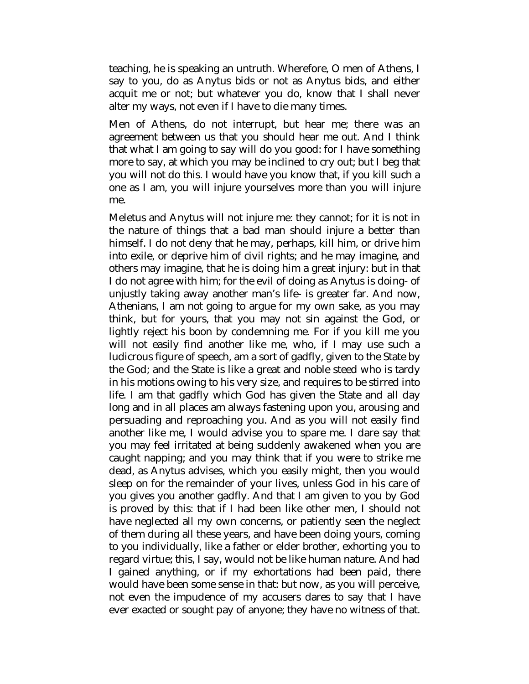teaching, he is speaking an untruth. Wherefore, O men of Athens, I say to you, do as Anytus bids or not as Anytus bids, and either acquit me or not; but whatever you do, know that I shall never alter my ways, not even if I have to die many times.

Men of Athens, do not interrupt, but hear me; there was an agreement between us that you should hear me out. And I think that what I am going to say will do you good: for I have something more to say, at which you may be inclined to cry out; but I beg that you will not do this. I would have you know that, if you kill such a one as I am, you will injure yourselves more than you will injure me.

Meletus and Anytus will not injure me: they cannot; for it is not in the nature of things that a bad man should injure a better than himself. I do not deny that he may, perhaps, kill him, or drive him into exile, or deprive him of civil rights; and he may imagine, and others may imagine, that he is doing him a great injury: but in that I do not agree with him; for the evil of doing as Anytus is doing- of unjustly taking away another man's life- is greater far. And now, Athenians, I am not going to argue for my own sake, as you may think, but for yours, that you may not sin against the God, or lightly reject his boon by condemning me. For if you kill me you will not easily find another like me, who, if I may use such a ludicrous figure of speech, am a sort of gadfly, given to the State by the God; and the State is like a great and noble steed who is tardy in his motions owing to his very size, and requires to be stirred into life. I am that gadfly which God has given the State and all day long and in all places am always fastening upon you, arousing and persuading and reproaching you. And as you will not easily find another like me, I would advise you to spare me. I dare say that you may feel irritated at being suddenly awakened when you are caught napping; and you may think that if you were to strike me dead, as Anytus advises, which you easily might, then you would sleep on for the remainder of your lives, unless God in his care of you gives you another gadfly. And that I am given to you by God is proved by this: that if I had been like other men, I should not have neglected all my own concerns, or patiently seen the neglect of them during all these years, and have been doing yours, coming to you individually, like a father or elder brother, exhorting you to regard virtue; this, I say, would not be like human nature. And had I gained anything, or if my exhortations had been paid, there would have been some sense in that: but now, as you will perceive, not even the impudence of my accusers dares to say that I have ever exacted or sought pay of anyone; they have no witness of that.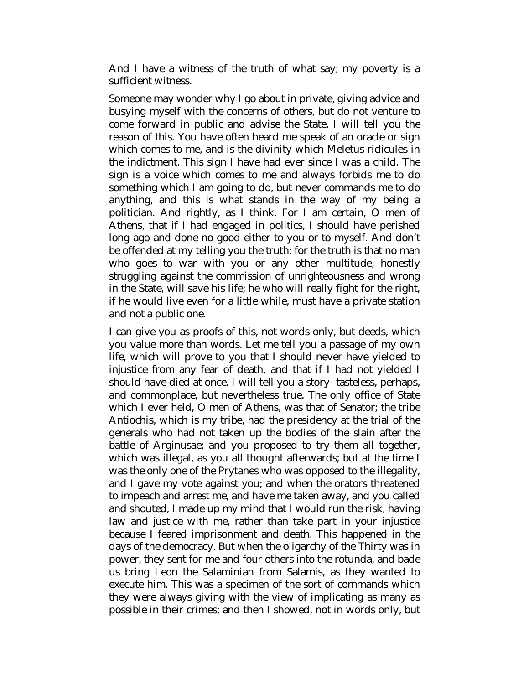And I have a witness of the truth of what say; my poverty is a sufficient witness.

Someone may wonder why I go about in private, giving advice and busying myself with the concerns of others, but do not venture to come forward in public and advise the State. I will tell you the reason of this. You have often heard me speak of an oracle or sign which comes to me, and is the divinity which Meletus ridicules in the indictment. This sign I have had ever since I was a child. The sign is a voice which comes to me and always forbids me to do something which I am going to do, but never commands me to do anything, and this is what stands in the way of my being a politician. And rightly, as I think. For I am certain, O men of Athens, that if I had engaged in politics, I should have perished long ago and done no good either to you or to myself. And don't be offended at my telling you the truth: for the truth is that no man who goes to war with you or any other multitude, honestly struggling against the commission of unrighteousness and wrong in the State, will save his life; he who will really fight for the right, if he would live even for a little while, must have a private station and not a public one.

I can give you as proofs of this, not words only, but deeds, which you value more than words. Let me tell you a passage of my own life, which will prove to you that I should never have yielded to injustice from any fear of death, and that if I had not yielded I should have died at once. I will tell you a story- tasteless, perhaps, and commonplace, but nevertheless true. The only office of State which I ever held, O men of Athens, was that of Senator; the tribe Antiochis, which is my tribe, had the presidency at the trial of the generals who had not taken up the bodies of the slain after the battle of Arginusae; and you proposed to try them all together, which was illegal, as you all thought afterwards; but at the time I was the only one of the Prytanes who was opposed to the illegality, and I gave my vote against you; and when the orators threatened to impeach and arrest me, and have me taken away, and you called and shouted, I made up my mind that I would run the risk, having law and justice with me, rather than take part in your injustice because I feared imprisonment and death. This happened in the days of the democracy. But when the oligarchy of the Thirty was in power, they sent for me and four others into the rotunda, and bade us bring Leon the Salaminian from Salamis, as they wanted to execute him. This was a specimen of the sort of commands which they were always giving with the view of implicating as many as possible in their crimes; and then I showed, not in words only, but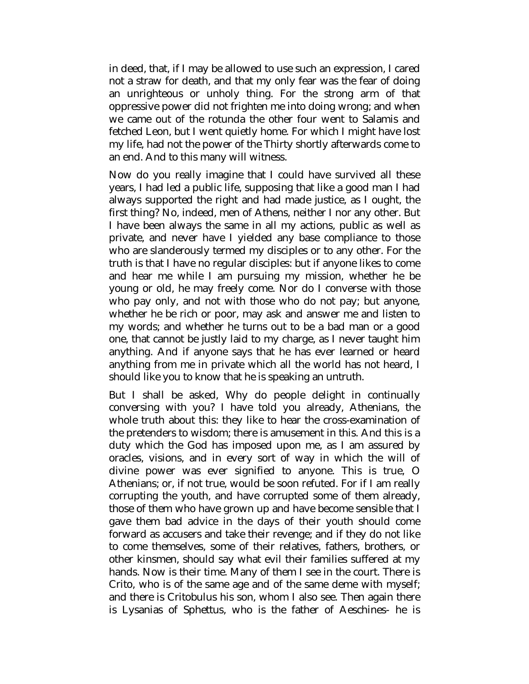in deed, that, if I may be allowed to use such an expression, I cared not a straw for death, and that my only fear was the fear of doing an unrighteous or unholy thing. For the strong arm of that oppressive power did not frighten me into doing wrong; and when we came out of the rotunda the other four went to Salamis and fetched Leon, but I went quietly home. For which I might have lost my life, had not the power of the Thirty shortly afterwards come to an end. And to this many will witness.

Now do you really imagine that I could have survived all these years, I had led a public life, supposing that like a good man I had always supported the right and had made justice, as I ought, the first thing? No, indeed, men of Athens, neither I nor any other. But I have been always the same in all my actions, public as well as private, and never have I yielded any base compliance to those who are slanderously termed my disciples or to any other. For the truth is that I have no regular disciples: but if anyone likes to come and hear me while I am pursuing my mission, whether he be young or old, he may freely come. Nor do I converse with those who pay only, and not with those who do not pay; but anyone, whether he be rich or poor, may ask and answer me and listen to my words; and whether he turns out to be a bad man or a good one, that cannot be justly laid to my charge, as I never taught him anything. And if anyone says that he has ever learned or heard anything from me in private which all the world has not heard, I should like you to know that he is speaking an untruth.

But I shall be asked, Why do people delight in continually conversing with you? I have told you already, Athenians, the whole truth about this: they like to hear the cross-examination of the pretenders to wisdom; there is amusement in this. And this is a duty which the God has imposed upon me, as I am assured by oracles, visions, and in every sort of way in which the will of divine power was ever signified to anyone. This is true, O Athenians; or, if not true, would be soon refuted. For if I am really corrupting the youth, and have corrupted some of them already, those of them who have grown up and have become sensible that I gave them bad advice in the days of their youth should come forward as accusers and take their revenge; and if they do not like to come themselves, some of their relatives, fathers, brothers, or other kinsmen, should say what evil their families suffered at my hands. Now is their time. Many of them I see in the court. There is Crito, who is of the same age and of the same deme with myself; and there is Critobulus his son, whom I also see. Then again there is Lysanias of Sphettus, who is the father of Aeschines- he is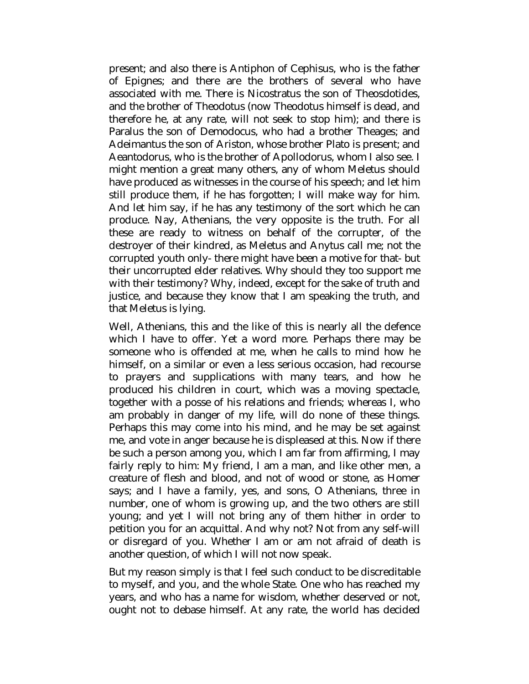present; and also there is Antiphon of Cephisus, who is the father of Epignes; and there are the brothers of several who have associated with me. There is Nicostratus the son of Theosdotides, and the brother of Theodotus (now Theodotus himself is dead, and therefore he, at any rate, will not seek to stop him); and there is Paralus the son of Demodocus, who had a brother Theages; and Adeimantus the son of Ariston, whose brother Plato is present; and Aeantodorus, who is the brother of Apollodorus, whom I also see. I might mention a great many others, any of whom Meletus should have produced as witnesses in the course of his speech; and let him still produce them, if he has forgotten; I will make way for him. And let him say, if he has any testimony of the sort which he can produce. Nay, Athenians, the very opposite is the truth. For all these are ready to witness on behalf of the corrupter, of the destroyer of their kindred, as Meletus and Anytus call me; not the corrupted youth only- there might have been a motive for that- but their uncorrupted elder relatives. Why should they too support me with their testimony? Why, indeed, except for the sake of truth and justice, and because they know that I am speaking the truth, and that Meletus is lying.

Well, Athenians, this and the like of this is nearly all the defence which I have to offer. Yet a word more. Perhaps there may be someone who is offended at me, when he calls to mind how he himself, on a similar or even a less serious occasion, had recourse to prayers and supplications with many tears, and how he produced his children in court, which was a moving spectacle, together with a posse of his relations and friends; whereas I, who am probably in danger of my life, will do none of these things. Perhaps this may come into his mind, and he may be set against me, and vote in anger because he is displeased at this. Now if there be such a person among you, which I am far from affirming, I may fairly reply to him: My friend, I am a man, and like other men, a creature of flesh and blood, and not of wood or stone, as Homer says; and I have a family, yes, and sons, O Athenians, three in number, one of whom is growing up, and the two others are still young; and yet I will not bring any of them hither in order to petition you for an acquittal. And why not? Not from any self-will or disregard of you. Whether I am or am not afraid of death is another question, of which I will not now speak.

But my reason simply is that I feel such conduct to be discreditable to myself, and you, and the whole State. One who has reached my years, and who has a name for wisdom, whether deserved or not, ought not to debase himself. At any rate, the world has decided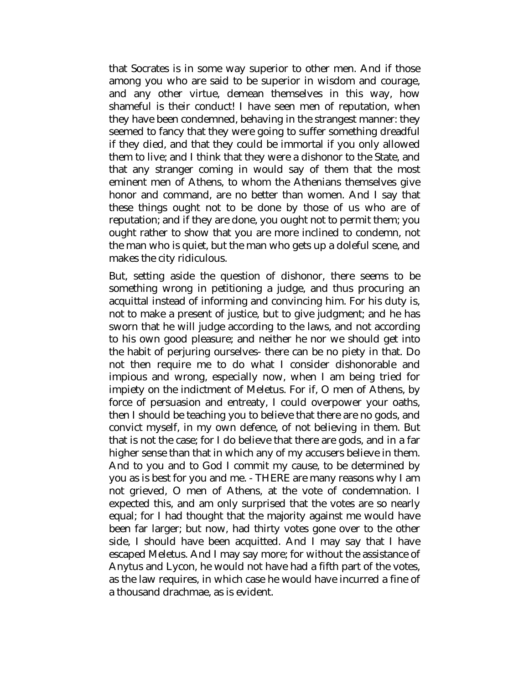that Socrates is in some way superior to other men. And if those among you who are said to be superior in wisdom and courage, and any other virtue, demean themselves in this way, how shameful is their conduct! I have seen men of reputation, when they have been condemned, behaving in the strangest manner: they seemed to fancy that they were going to suffer something dreadful if they died, and that they could be immortal if you only allowed them to live; and I think that they were a dishonor to the State, and that any stranger coming in would say of them that the most eminent men of Athens, to whom the Athenians themselves give honor and command, are no better than women. And I say that these things ought not to be done by those of us who are of reputation; and if they are done, you ought not to permit them; you ought rather to show that you are more inclined to condemn, not the man who is quiet, but the man who gets up a doleful scene, and makes the city ridiculous.

But, setting aside the question of dishonor, there seems to be something wrong in petitioning a judge, and thus procuring an acquittal instead of informing and convincing him. For his duty is, not to make a present of justice, but to give judgment; and he has sworn that he will judge according to the laws, and not according to his own good pleasure; and neither he nor we should get into the habit of perjuring ourselves- there can be no piety in that. Do not then require me to do what I consider dishonorable and impious and wrong, especially now, when I am being tried for impiety on the indictment of Meletus. For if, O men of Athens, by force of persuasion and entreaty, I could overpower your oaths, then I should be teaching you to believe that there are no gods, and convict myself, in my own defence, of not believing in them. But that is not the case; for I do believe that there are gods, and in a far higher sense than that in which any of my accusers believe in them. And to you and to God I commit my cause, to be determined by you as is best for you and me. - THERE are many reasons why I am not grieved, O men of Athens, at the vote of condemnation. I expected this, and am only surprised that the votes are so nearly equal; for I had thought that the majority against me would have been far larger; but now, had thirty votes gone over to the other side, I should have been acquitted. And I may say that I have escaped Meletus. And I may say more; for without the assistance of Anytus and Lycon, he would not have had a fifth part of the votes, as the law requires, in which case he would have incurred a fine of a thousand drachmae, as is evident.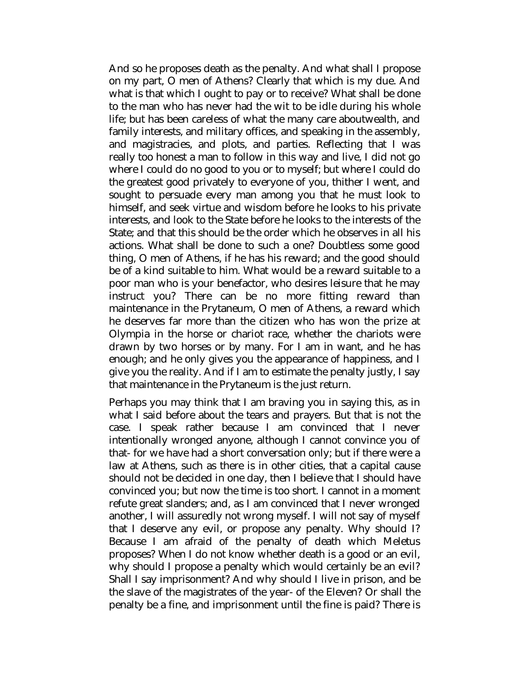And so he proposes death as the penalty. And what shall I propose on my part, O men of Athens? Clearly that which is my due. And what is that which I ought to pay or to receive? What shall be done to the man who has never had the wit to be idle during his whole life; but has been careless of what the many care aboutwealth, and family interests, and military offices, and speaking in the assembly, and magistracies, and plots, and parties. Reflecting that I was really too honest a man to follow in this way and live, I did not go where I could do no good to you or to myself; but where I could do the greatest good privately to everyone of you, thither I went, and sought to persuade every man among you that he must look to himself, and seek virtue and wisdom before he looks to his private interests, and look to the State before he looks to the interests of the State; and that this should be the order which he observes in all his actions. What shall be done to such a one? Doubtless some good thing, O men of Athens, if he has his reward; and the good should be of a kind suitable to him. What would be a reward suitable to a poor man who is your benefactor, who desires leisure that he may instruct you? There can be no more fitting reward than maintenance in the Prytaneum, O men of Athens, a reward which he deserves far more than the citizen who has won the prize at Olympia in the horse or chariot race, whether the chariots were drawn by two horses or by many. For I am in want, and he has enough; and he only gives you the appearance of happiness, and I give you the reality. And if I am to estimate the penalty justly, I say that maintenance in the Prytaneum is the just return.

Perhaps you may think that I am braving you in saying this, as in what I said before about the tears and prayers. But that is not the case. I speak rather because I am convinced that I never intentionally wronged anyone, although I cannot convince you of that- for we have had a short conversation only; but if there were a law at Athens, such as there is in other cities, that a capital cause should not be decided in one day, then I believe that I should have convinced you; but now the time is too short. I cannot in a moment refute great slanders; and, as I am convinced that I never wronged another, I will assuredly not wrong myself. I will not say of myself that I deserve any evil, or propose any penalty. Why should I? Because I am afraid of the penalty of death which Meletus proposes? When I do not know whether death is a good or an evil, why should I propose a penalty which would certainly be an evil? Shall I say imprisonment? And why should I live in prison, and be the slave of the magistrates of the year- of the Eleven? Or shall the penalty be a fine, and imprisonment until the fine is paid? There is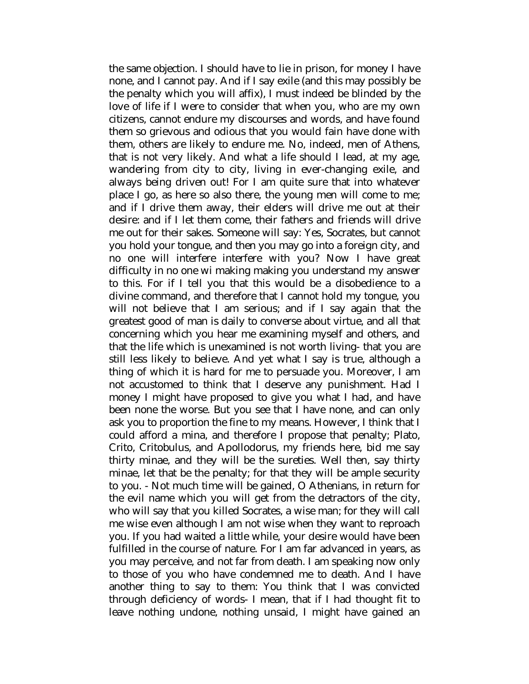the same objection. I should have to lie in prison, for money I have none, and I cannot pay. And if I say exile (and this may possibly be the penalty which you will affix), I must indeed be blinded by the love of life if I were to consider that when you, who are my own citizens, cannot endure my discourses and words, and have found them so grievous and odious that you would fain have done with them, others are likely to endure me. No, indeed, men of Athens, that is not very likely. And what a life should I lead, at my age, wandering from city to city, living in ever-changing exile, and always being driven out! For I am quite sure that into whatever place I go, as here so also there, the young men will come to me; and if I drive them away, their elders will drive me out at their desire: and if I let them come, their fathers and friends will drive me out for their sakes. Someone will say: Yes, Socrates, but cannot you hold your tongue, and then you may go into a foreign city, and no one will interfere interfere with you? Now I have great difficulty in no one wi making making you understand my answer to this. For if I tell you that this would be a disobedience to a divine command, and therefore that I cannot hold my tongue, you will not believe that I am serious; and if I say again that the greatest good of man is daily to converse about virtue, and all that concerning which you hear me examining myself and others, and that the life which is unexamined is not worth living- that you are still less likely to believe. And yet what I say is true, although a thing of which it is hard for me to persuade you. Moreover, I am not accustomed to think that I deserve any punishment. Had I money I might have proposed to give you what I had, and have been none the worse. But you see that I have none, and can only ask you to proportion the fine to my means. However, I think that I could afford a mina, and therefore I propose that penalty; Plato, Crito, Critobulus, and Apollodorus, my friends here, bid me say thirty minae, and they will be the sureties. Well then, say thirty minae, let that be the penalty; for that they will be ample security to you. - Not much time will be gained, O Athenians, in return for the evil name which you will get from the detractors of the city, who will say that you killed Socrates, a wise man; for they will call me wise even although I am not wise when they want to reproach you. If you had waited a little while, your desire would have been fulfilled in the course of nature. For I am far advanced in years, as you may perceive, and not far from death. I am speaking now only to those of you who have condemned me to death. And I have another thing to say to them: You think that I was convicted through deficiency of words- I mean, that if I had thought fit to leave nothing undone, nothing unsaid, I might have gained an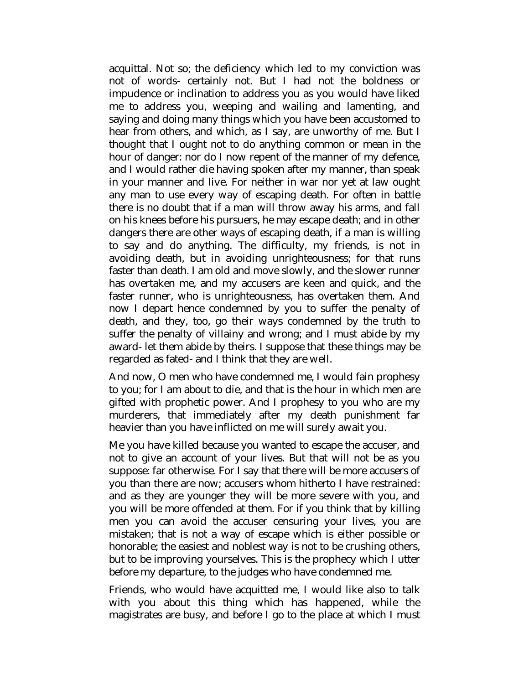acquittal. Not so; the deficiency which led to my conviction was not of words- certainly not. But I had not the boldness or impudence or inclination to address you as you would have liked me to address you, weeping and wailing and lamenting, and saying and doing many things which you have been accustomed to hear from others, and which, as I say, are unworthy of me. But I thought that I ought not to do anything common or mean in the hour of danger: nor do I now repent of the manner of my defence, and I would rather die having spoken after my manner, than speak in your manner and live. For neither in war nor yet at law ought any man to use every way of escaping death. For often in battle there is no doubt that if a man will throw away his arms, and fall on his knees before his pursuers, he may escape death; and in other dangers there are other ways of escaping death, if a man is willing to say and do anything. The difficulty, my friends, is not in avoiding death, but in avoiding unrighteousness; for that runs faster than death. I am old and move slowly, and the slower runner has overtaken me, and my accusers are keen and quick, and the faster runner, who is unrighteousness, has overtaken them. And now I depart hence condemned by you to suffer the penalty of death, and they, too, go their ways condemned by the truth to suffer the penalty of villainy and wrong; and I must abide by my award- let them abide by theirs. I suppose that these things may be regarded as fated- and I think that they are well.

And now, O men who have condemned me, I would fain prophesy to you; for I am about to die, and that is the hour in which men are gifted with prophetic power. And I prophesy to you who are my murderers, that immediately after my death punishment far heavier than you have inflicted on me will surely await you.

Me you have killed because you wanted to escape the accuser, and not to give an account of your lives. But that will not be as you suppose: far otherwise. For I say that there will be more accusers of you than there are now; accusers whom hitherto I have restrained: and as they are younger they will be more severe with you, and you will be more offended at them. For if you think that by killing men you can avoid the accuser censuring your lives, you are mistaken; that is not a way of escape which is either possible or honorable; the easiest and noblest way is not to be crushing others, but to be improving yourselves. This is the prophecy which I utter before my departure, to the judges who have condemned me.

Friends, who would have acquitted me, I would like also to talk with you about this thing which has happened, while the magistrates are busy, and before I go to the place at which I must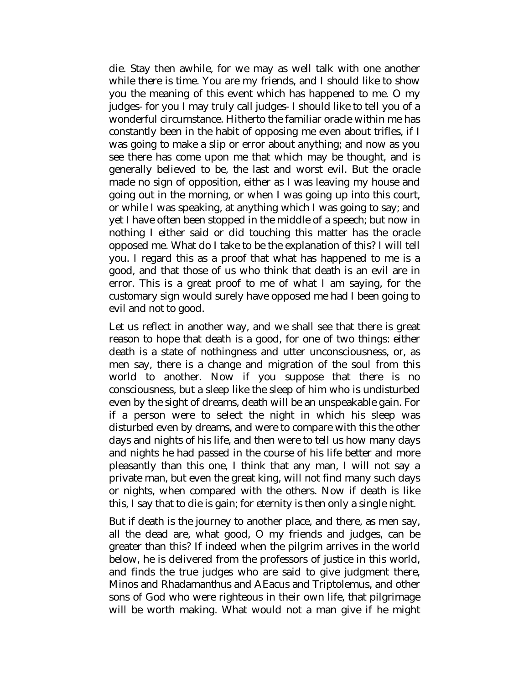die. Stay then awhile, for we may as well talk with one another while there is time. You are my friends, and I should like to show you the meaning of this event which has happened to me. O my judges- for you I may truly call judges- I should like to tell you of a wonderful circumstance. Hitherto the familiar oracle within me has constantly been in the habit of opposing me even about trifles, if I was going to make a slip or error about anything; and now as you see there has come upon me that which may be thought, and is generally believed to be, the last and worst evil. But the oracle made no sign of opposition, either as I was leaving my house and going out in the morning, or when I was going up into this court, or while I was speaking, at anything which I was going to say; and yet I have often been stopped in the middle of a speech; but now in nothing I either said or did touching this matter has the oracle opposed me. What do I take to be the explanation of this? I will tell you. I regard this as a proof that what has happened to me is a good, and that those of us who think that death is an evil are in error. This is a great proof to me of what I am saying, for the customary sign would surely have opposed me had I been going to evil and not to good.

Let us reflect in another way, and we shall see that there is great reason to hope that death is a good, for one of two things: either death is a state of nothingness and utter unconsciousness, or, as men say, there is a change and migration of the soul from this world to another. Now if you suppose that there is no consciousness, but a sleep like the sleep of him who is undisturbed even by the sight of dreams, death will be an unspeakable gain. For if a person were to select the night in which his sleep was disturbed even by dreams, and were to compare with this the other days and nights of his life, and then were to tell us how many days and nights he had passed in the course of his life better and more pleasantly than this one, I think that any man, I will not say a private man, but even the great king, will not find many such days or nights, when compared with the others. Now if death is like this, I say that to die is gain; for eternity is then only a single night.

But if death is the journey to another place, and there, as men say, all the dead are, what good, O my friends and judges, can be greater than this? If indeed when the pilgrim arrives in the world below, he is delivered from the professors of justice in this world, and finds the true judges who are said to give judgment there, Minos and Rhadamanthus and AEacus and Triptolemus, and other sons of God who were righteous in their own life, that pilgrimage will be worth making. What would not a man give if he might